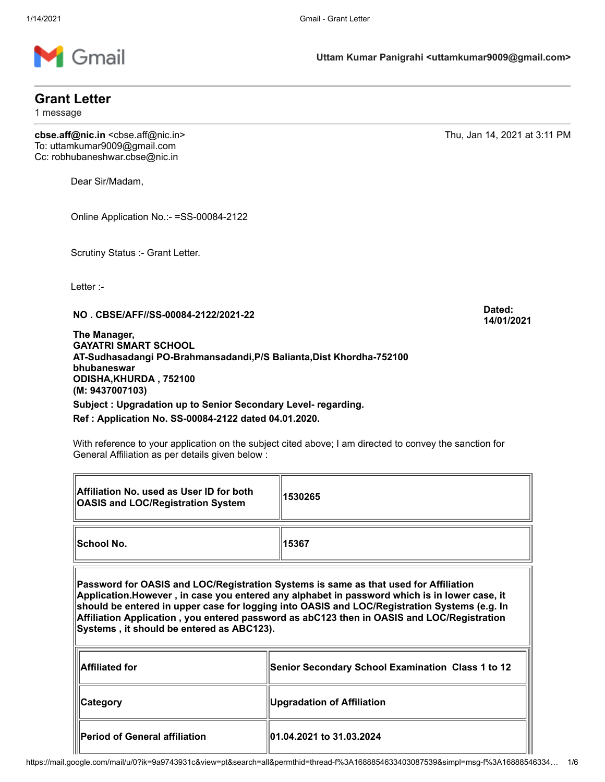

## **Grant Letter**

1 message

**cbse.aff@nic.in** <cbse.aff@nic.in> Thu, Jan 14, 2021 at 3:11 PM To: uttamkumar9009@gmail.com Cc: robhubaneshwar.cbse@nic.in

Dear Sir/Madam,

Online Application No.:- =SS-00084-2122

Scrutiny Status :- Grant Letter.

Letter :-

匠

**NO . CBSE/AFF//SS-00084-2122/2021-22 Dated:**

**The Manager, GAYATRI SMART SCHOOL AT-Sudhasadangi PO-Brahmansadandi,P/S Balianta,Dist Khordha-752100 bhubaneswar ODISHA,KHURDA , 752100 (M: 9437007103) Subject : Upgradation up to Senior Secondary Level- regarding.**

## **Ref : Application No. SS-00084-2122 dated 04.01.2020.**

With reference to your application on the subject cited above; I am directed to convey the sanction for General Affiliation as per details given below :

| Affiliation No. used as User ID for both<br><b>OASIS and LOC/Registration System</b>                                                                                                                                                                                                                                                                                                                                             | 1530265                                                  |  |  |  |  |  |
|----------------------------------------------------------------------------------------------------------------------------------------------------------------------------------------------------------------------------------------------------------------------------------------------------------------------------------------------------------------------------------------------------------------------------------|----------------------------------------------------------|--|--|--|--|--|
| <b>School No.</b>                                                                                                                                                                                                                                                                                                                                                                                                                | 15367                                                    |  |  |  |  |  |
| Password for OASIS and LOC/Registration Systems is same as that used for Affiliation<br>Application.However, in case you entered any alphabet in password which is in lower case, it<br>should be entered in upper case for logging into OASIS and LOC/Registration Systems (e.g. In<br>Affiliation Application , you entered password as abC123 then in OASIS and LOC/Registration<br>Systems, it should be entered as ABC123). |                                                          |  |  |  |  |  |
| <b>Affiliated for</b>                                                                                                                                                                                                                                                                                                                                                                                                            | <b>Senior Secondary School Examination Class 1 to 12</b> |  |  |  |  |  |
| Category                                                                                                                                                                                                                                                                                                                                                                                                                         | <b>Upgradation of Affiliation</b>                        |  |  |  |  |  |
| Period of General affiliation                                                                                                                                                                                                                                                                                                                                                                                                    | 01.04.2021 to 31.03.2024                                 |  |  |  |  |  |

**14/01/2021**

 $\overline{\mathbf{r}}$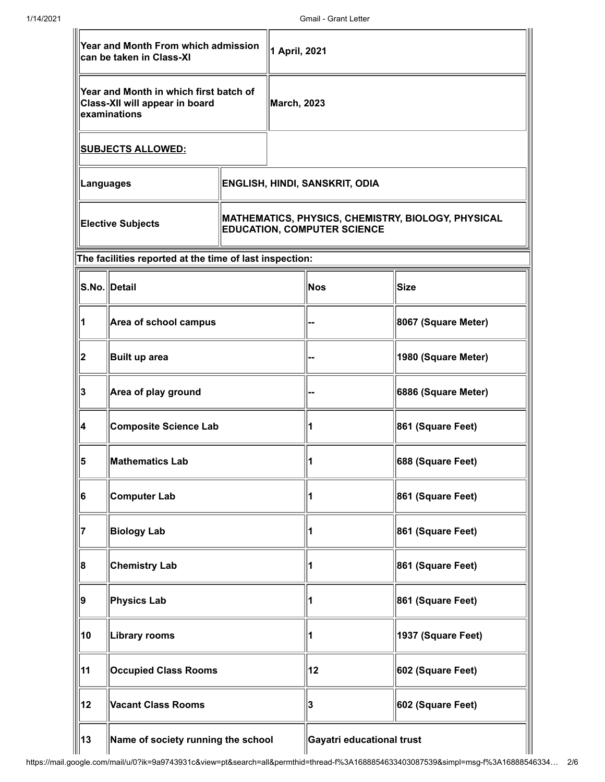| Year and Month From which admission<br>1 April, 2021<br>can be taken in Class-XI         |                                                         |                                                                                          |         |                           |                     |
|------------------------------------------------------------------------------------------|---------------------------------------------------------|------------------------------------------------------------------------------------------|---------|---------------------------|---------------------|
| Year and Month in which first batch of<br>Class-XII will appear in board<br>examinations |                                                         | <b>March, 2023</b>                                                                       |         |                           |                     |
| <b>SUBJECTS ALLOWED:</b>                                                                 |                                                         |                                                                                          |         |                           |                     |
| <b>Languages</b>                                                                         |                                                         | <b>ENGLISH, HINDI, SANSKRIT, ODIA</b>                                                    |         |                           |                     |
| <b>Elective Subjects</b>                                                                 |                                                         | MATHEMATICS, PHYSICS, CHEMISTRY, BIOLOGY, PHYSICAL<br><b>EDUCATION, COMPUTER SCIENCE</b> |         |                           |                     |
|                                                                                          | The facilities reported at the time of last inspection: |                                                                                          |         |                           |                     |
|                                                                                          | S.No.∥Detail                                            |                                                                                          | $ $ Nos | Size                      |                     |
|                                                                                          | Area of school campus                                   |                                                                                          |         | 8067 (Square Meter)       |                     |
| 2                                                                                        | Built up area                                           |                                                                                          |         |                           | 1980 (Square Meter) |
| 3                                                                                        | Area of play ground                                     |                                                                                          |         |                           | 6886 (Square Meter) |
| 4                                                                                        | <b>Composite Science Lab</b>                            |                                                                                          |         |                           | 861 (Square Feet)   |
| 5                                                                                        | <b>Mathematics Lab</b>                                  |                                                                                          |         |                           | 688 (Square Feet)   |
| 6                                                                                        | <b>Computer Lab</b>                                     |                                                                                          |         | 1                         | 861 (Square Feet)   |
| 17                                                                                       | <b>Biology Lab</b>                                      |                                                                                          |         | 1                         | 861 (Square Feet)   |
| 8                                                                                        | <b>Chemistry Lab</b>                                    |                                                                                          |         | 1                         | 861 (Square Feet)   |
| 9                                                                                        | <b>Physics Lab</b>                                      |                                                                                          |         | 1                         | 861 (Square Feet)   |
| 10                                                                                       | <b>Library rooms</b>                                    |                                                                                          |         | 1                         | 1937 (Square Feet)  |
| 11                                                                                       | <b>Occupied Class Rooms</b>                             |                                                                                          |         | 12                        | 602 (Square Feet)   |
| 12                                                                                       | <b>Vacant Class Rooms</b>                               |                                                                                          |         | 3                         | 602 (Square Feet)   |
| 13                                                                                       | Name of society running the school                      |                                                                                          |         | Gayatri educational trust |                     |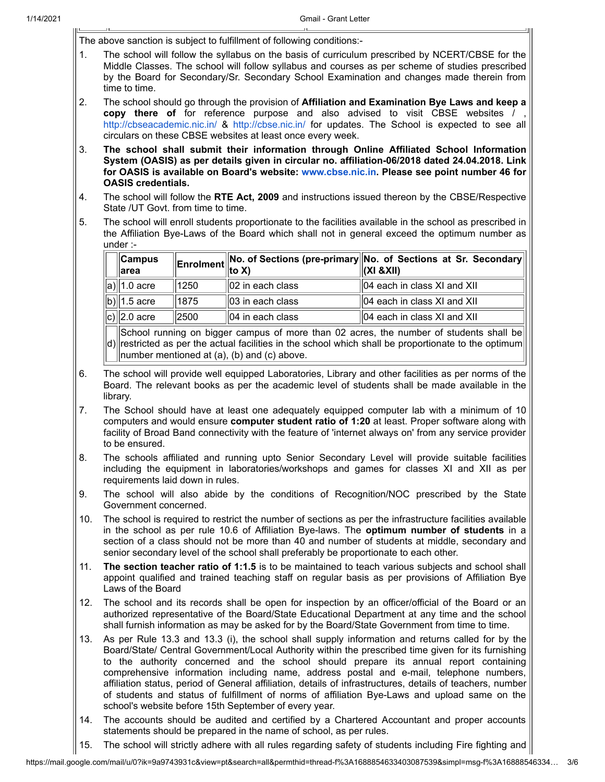The above sanction is subject to fulfillment of following conditions:-

- 1. The school will follow the syllabus on the basis of curriculum prescribed by NCERT/CBSE for the Middle Classes. The school will follow syllabus and courses as per scheme of studies prescribed by the Board for Secondary/Sr. Secondary School Examination and changes made therein from time to time.
- 2. The school should go through the provision of **Affiliation and Examination Bye Laws and keep a copy there of** for reference purpose and also advised to visit CBSE websites / , <http://cbseacademic.nic.in/> & <http://cbse.nic.in/> for updates. The School is expected to see all circulars on these CBSE websites at least once every week.
- 3. **The school shall submit their information through Online Affiliated School Information System (OASIS) as per details given in circular no. affiliation-06/2018 dated 24.04.2018. Link for OASIS is available on Board's website: [www.cbse.nic.in.](http://www.cbse.nic.in/) Please see point number 46 for OASIS credentials.**
- 4. The school will follow the **RTE Act, 2009** and instructions issued thereon by the CBSE/Respective State /UT Govt. from time to time.
- 5. The school will enroll students proportionate to the facilities available in the school as prescribed in the Affiliation Bye-Laws of the Board which shall not in general exceed the optimum number as under :-

| $\ $ Campus<br>∣area                                                                         |      |                      | <b>Enrolment</b> No. of Sections (pre-primary No. of Sections at Sr. Secondary $\left\Vert$<br>$\left\Vert$ (zi &Xiii) |  |  |
|----------------------------------------------------------------------------------------------|------|----------------------|------------------------------------------------------------------------------------------------------------------------|--|--|
| $\ \mathsf{a}\ $ 1.0 acre                                                                    | 1250 | $  02$ in each class | 04 each in class XI and XII                                                                                            |  |  |
| $\ b\ $ 1.5 acre                                                                             | 1875 | $  03$ in each class | 04 each in class XI and XII                                                                                            |  |  |
| $\ c\rangle\ $ 2.0 acre                                                                      | 2500 | 104 in each class    | 04 each in class XI and XII                                                                                            |  |  |
| $\ $ Cabool running on bigger compus of more than 02 cerse the number of students shall hall |      |                      |                                                                                                                        |  |  |

 $|d\rangle$ School running on bigger campus of more than 02 acres, the number of students shall be restricted as per the actual facilities in the school which shall be proportionate to the optimum number mentioned at (a), (b) and (c) above.

- 6. The school will provide well equipped Laboratories, Library and other facilities as per norms of the Board. The relevant books as per the academic level of students shall be made available in the library.
- 7. The School should have at least one adequately equipped computer lab with a minimum of 10 computers and would ensure **computer student ratio of 1:20** at least. Proper software along with facility of Broad Band connectivity with the feature of 'internet always on' from any service provider to be ensured.
- 8. The schools affiliated and running upto Senior Secondary Level will provide suitable facilities including the equipment in laboratories/workshops and games for classes XI and XII as per requirements laid down in rules.
- 9. The school will also abide by the conditions of Recognition/NOC prescribed by the State Government concerned.
- 10. The school is required to restrict the number of sections as per the infrastructure facilities available in the school as per rule 10.6 of Affiliation Bye-laws. The **optimum number of students** in a section of a class should not be more than 40 and number of students at middle, secondary and senior secondary level of the school shall preferably be proportionate to each other.
- 11. **The section teacher ratio of 1:1.5** is to be maintained to teach various subjects and school shall appoint qualified and trained teaching staff on regular basis as per provisions of Affiliation Bye Laws of the Board
- 12. The school and its records shall be open for inspection by an officer/official of the Board or an authorized representative of the Board/State Educational Department at any time and the school shall furnish information as may be asked for by the Board/State Government from time to time.
- 13. As per Rule 13.3 and 13.3 (i), the school shall supply information and returns called for by the Board/State/ Central Government/Local Authority within the prescribed time given for its furnishing to the authority concerned and the school should prepare its annual report containing comprehensive information including name, address postal and e-mail, telephone numbers, affiliation status, period of General affiliation, details of infrastructures, details of teachers, number of students and status of fulfillment of norms of affiliation Bye-Laws and upload same on the school's website before 15th September of every year.
- 14. The accounts should be audited and certified by a Chartered Accountant and proper accounts statements should be prepared in the name of school, as per rules.
- 15. The school will strictly adhere with all rules regarding safety of students including Fire fighting and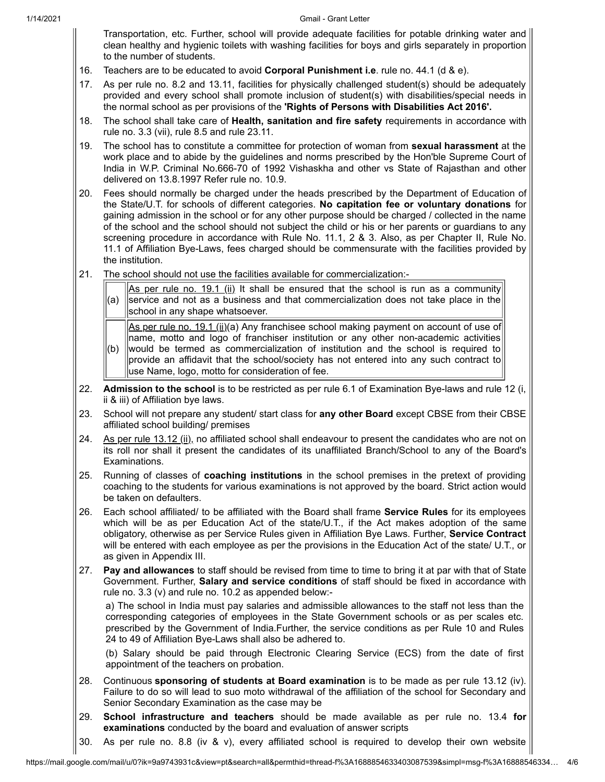Transportation, etc. Further, school will provide adequate facilities for potable drinking water and clean healthy and hygienic toilets with washing facilities for boys and girls separately in proportion to the number of students.

- 16. Teachers are to be educated to avoid **Corporal Punishment i.e**. rule no. 44.1 (d & e).
- 17. As per rule no. 8.2 and 13.11, facilities for physically challenged student(s) should be adequately provided and every school shall promote inclusion of student(s) with disabilities/special needs in the normal school as per provisions of the **'Rights of Persons with Disabilities Act 2016'.**
- 18. The school shall take care of **Health, sanitation and fire safety** requirements in accordance with rule no. 3.3 (vii), rule 8.5 and rule 23.11.
- 19. The school has to constitute a committee for protection of woman from **sexual harassment** at the work place and to abide by the guidelines and norms prescribed by the Hon'ble Supreme Court of India in W.P. Criminal No.666-70 of 1992 Vishaskha and other vs State of Rajasthan and other delivered on 13.8.1997 Refer rule no. 10.9.
- 20. Fees should normally be charged under the heads prescribed by the Department of Education of the State/U.T. for schools of different categories. **No capitation fee or voluntary donations** for gaining admission in the school or for any other purpose should be charged / collected in the name of the school and the school should not subject the child or his or her parents or guardians to any screening procedure in accordance with Rule No. 11.1, 2 & 3. Also, as per Chapter II, Rule No. 11.1 of Affiliation Bye-Laws, fees charged should be commensurate with the facilities provided by the institution.
- 21. The school should not use the facilities available for commercialization:-

| $\left\  \underline{As} \underline{per} \underline{rule} \underline{no.} 19.1 \underline{(ii)} \underline{li} \right\ $ is shall be ensured that the school is run as a community<br>$\ $ (a) $\ $ service and not as a business and that commercialization does not take place in the<br>school in any shape whatsoever. |
|---------------------------------------------------------------------------------------------------------------------------------------------------------------------------------------------------------------------------------------------------------------------------------------------------------------------------|
| $\left\  \text{As per rule no. 19.1 (ii)} \right\ $ Any franchisee school making payment on account of use of<br>$\parallel$ name motto and logo of franchiser institution or any other non-academic activities                                                                                                           |

- (b) would be termed as commercialization of institution and the school is required to name, motto and logo of franchiser institution or any other non-academic activities provide an affidavit that the school/society has not entered into any such contract to use Name, logo, motto for consideration of fee.
- 22. **Admission to the school** is to be restricted as per rule 6.1 of Examination Bye-laws and rule 12 (i, ii & iii) of Affiliation bye laws.
- 23. School will not prepare any student/ start class for **any other Board** except CBSE from their CBSE affiliated school building/ premises
- 24. As per rule  $13.12$  (ii), no affiliated school shall endeavour to present the candidates who are not on its roll nor shall it present the candidates of its unaffiliated Branch/School to any of the Board's Examinations.
- 25. Running of classes of **coaching institutions** in the school premises in the pretext of providing coaching to the students for various examinations is not approved by the board. Strict action would be taken on defaulters.
- 26. Each school affiliated/ to be affiliated with the Board shall frame **Service Rules** for its employees which will be as per Education Act of the state/U.T., if the Act makes adoption of the same obligatory, otherwise as per Service Rules given in Affiliation Bye Laws. Further, **Service Contract** will be entered with each employee as per the provisions in the Education Act of the state/ U.T., or as given in Appendix III.
- 27. **Pay and allowances** to staff should be revised from time to time to bring it at par with that of State Government. Further, **Salary and service conditions** of staff should be fixed in accordance with rule no. 3.3 (v) and rule no. 10.2 as appended below:-

a) The school in India must pay salaries and admissible allowances to the staff not less than the corresponding categories of employees in the State Government schools or as per scales etc. prescribed by the Government of India.Further, the service conditions as per Rule 10 and Rules 24 to 49 of Affiliation Bye-Laws shall also be adhered to.

(b) Salary should be paid through Electronic Clearing Service (ECS) from the date of first appointment of the teachers on probation.

- 28. Continuous **sponsoring of students at Board examination** is to be made as per rule 13.12 (iv). Failure to do so will lead to suo moto withdrawal of the affiliation of the school for Secondary and Senior Secondary Examination as the case may be
- 29. **School infrastructure and teachers** should be made available as per rule no. 13.4 **for examinations** conducted by the board and evaluation of answer scripts
- 30. As per rule no. 8.8 (iv & v), every affiliated school is required to develop their own website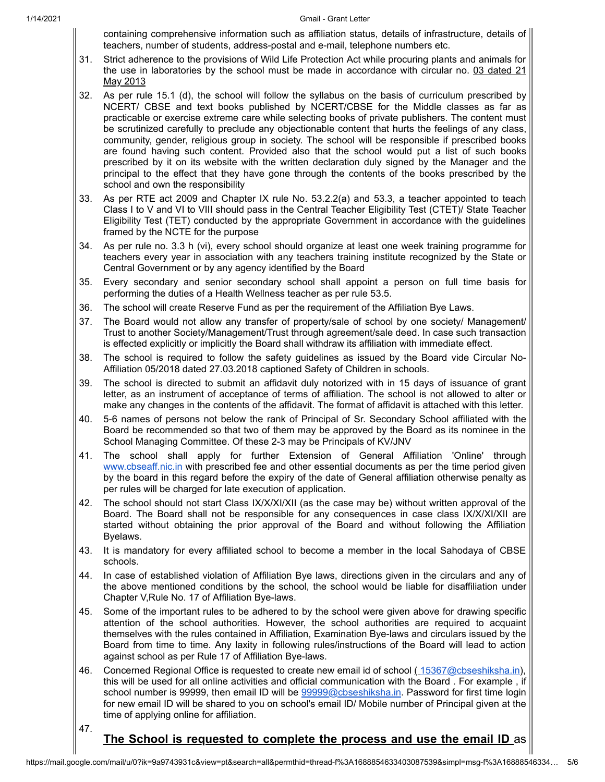containing comprehensive information such as affiliation status, details of infrastructure, details of teachers, number of students, address-postal and e-mail, telephone numbers etc.

- 31. Strict adherence to the provisions of Wild Life Protection Act while procuring plants and animals for the use in laboratories by the school must be made in accordance with circular no. 03 dated 21 May 2013
- 32. As per rule 15.1 (d), the school will follow the syllabus on the basis of curriculum prescribed by NCERT/ CBSE and text books published by NCERT/CBSE for the Middle classes as far as practicable or exercise extreme care while selecting books of private publishers. The content must be scrutinized carefully to preclude any objectionable content that hurts the feelings of any class, community, gender, religious group in society. The school will be responsible if prescribed books are found having such content. Provided also that the school would put a list of such books prescribed by it on its website with the written declaration duly signed by the Manager and the principal to the effect that they have gone through the contents of the books prescribed by the school and own the responsibility
- 33. As per RTE act 2009 and Chapter IX rule No. 53.2.2(a) and 53.3, a teacher appointed to teach Class I to V and VI to VIII should pass in the Central Teacher Eligibility Test (CTET)/ State Teacher Eligibility Test (TET) conducted by the appropriate Government in accordance with the guidelines framed by the NCTE for the purpose
- 34. As per rule no. 3.3 h (vi), every school should organize at least one week training programme for teachers every year in association with any teachers training institute recognized by the State or Central Government or by any agency identified by the Board
- 35. Every secondary and senior secondary school shall appoint a person on full time basis for performing the duties of a Health Wellness teacher as per rule 53.5.
- 36. The school will create Reserve Fund as per the requirement of the Affiliation Bye Laws.
- 37. The Board would not allow any transfer of property/sale of school by one society/ Management/ Trust to another Society/Management/Trust through agreement/sale deed. In case such transaction is effected explicitly or implicitly the Board shall withdraw its affiliation with immediate effect.
- 38. The school is required to follow the safety guidelines as issued by the Board vide Circular No-Affiliation 05/2018 dated 27.03.2018 captioned Safety of Children in schools.
- 39. The school is directed to submit an affidavit duly notorized with in 15 days of issuance of grant letter, as an instrument of acceptance of terms of affiliation. The school is not allowed to alter or make any changes in the contents of the affidavit. The format of affidavit is attached with this letter.
- 40. 5-6 names of persons not below the rank of Principal of Sr. Secondary School affiliated with the Board be recommended so that two of them may be approved by the Board as its nominee in the School Managing Committee. Of these 2-3 may be Principals of KV/JNV
- 41. The school shall apply for further Extension of General Affiliation 'Online' through [www.cbseaff.nic.in](http://www.cbseaff.nic.in/) with prescribed fee and other essential documents as per the time period given by the board in this regard before the expiry of the date of General affiliation otherwise penalty as per rules will be charged for late execution of application.
- 42. The school should not start Class IX/X/XI/XII (as the case may be) without written approval of the Board. The Board shall not be responsible for any consequences in case class IX/X/XI/XII are started without obtaining the prior approval of the Board and without following the Affiliation Byelaws.
- 43. It is mandatory for every affiliated school to become a member in the local Sahodaya of CBSE schools.
- 44. In case of established violation of Affiliation Bye laws, directions given in the circulars and any of the above mentioned conditions by the school, the school would be liable for disaffiliation under Chapter V,Rule No. 17 of Affiliation Bye-laws.
- 45. Some of the important rules to be adhered to by the school were given above for drawing specific attention of the school authorities. However, the school authorities are required to acquaint themselves with the rules contained in Affiliation, Examination Bye-laws and circulars issued by the Board from time to time. Any laxity in following rules/instructions of the Board will lead to action against school as per Rule 17 of Affiliation Bye-laws.
- 46. Concerned Regional Office is requested to create new email id of school ([15367@cbseshiksha.in](mailto:15367@cbseshiksha.in)), this will be used for all online activities and official communication with the Board . For example , if school number is 99999, then email ID will be [99999@cbseshiksha.in](mailto:99999@cbseshiksha.in). Password for first time login for new email ID will be shared to you on school's email ID/ Mobile number of Principal given at the time of applying online for affiliation.

47.

## **The School is requested to complete the process and use the email ID** as